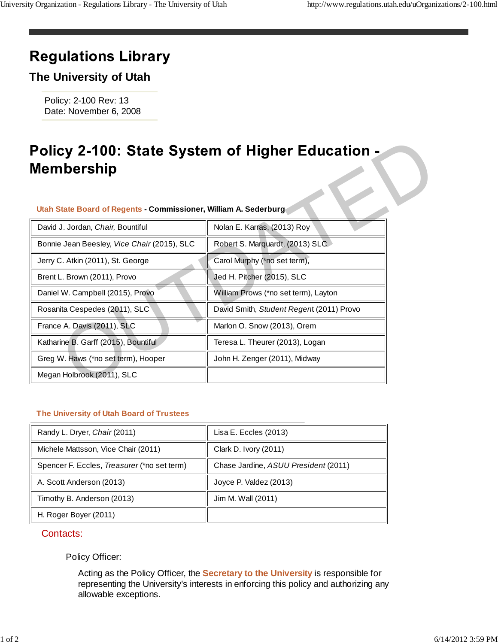# **Regulations Library**

## **The University of Utah**

Policy: 2-100 Rev: 13 Date: November 6, 2008

#### **Utah State Board of Regents - Commissioner, William A. Sederburg**

| Policy 2-100: State System of Higher Education -<br>Membership   |                                          |  |
|------------------------------------------------------------------|------------------------------------------|--|
| Utah State Board of Regents - Commissioner, William A. Sederburg |                                          |  |
| David J. Jordan, Chair, Bountiful                                | Nolan E. Karras, (2013) Roy              |  |
| Bonnie Jean Beesley, Vice Chair (2015), SLC                      | Robert S. Marquardt, (2013) SLC          |  |
| Jerry C. Atkin (2011), St. George                                | Carol Murphy (*no set term),             |  |
| Brent L. Brown (2011), Provo                                     | Jed H. Pitcher (2015), SLC               |  |
| Daniel W. Campbell (2015), Provo                                 | William Prows (*no set term), Layton     |  |
| Rosanita Cespedes (2011), SLC                                    | David Smith, Student Regent (2011) Provo |  |
| France A. Davis (2011), SLC                                      | Marlon O. Snow (2013), Orem              |  |
| Katharine B. Garff (2015), Bountiful                             | Teresa L. Theurer (2013), Logan          |  |
| Greg W. Haws (*no set term), Hooper                              | John H. Zenger (2011), Midway            |  |
| Megan Holbrook (2011), SLC                                       |                                          |  |

### **The University of Utah Board of Trustees**

| Randy L. Dryer, Chair (2011)                | Lisa E. Eccles (2013)                |
|---------------------------------------------|--------------------------------------|
| Michele Mattsson, Vice Chair (2011)         | Clark D. Ivory (2011)                |
| Spencer F. Eccles, Treasurer (*no set term) | Chase Jardine, ASUU President (2011) |
| A. Scott Anderson (2013)                    | Joyce P. Valdez (2013)               |
| Timothy B. Anderson (2013)                  | Jim M. Wall (2011)                   |
| H. Roger Boyer (2011)                       |                                      |

#### Contacts:

### Policy Officer:

Acting as the Policy Officer, the **Secretary to the University** is responsible for representing the University's interests in enforcing this policy and authorizing any allowable exceptions.